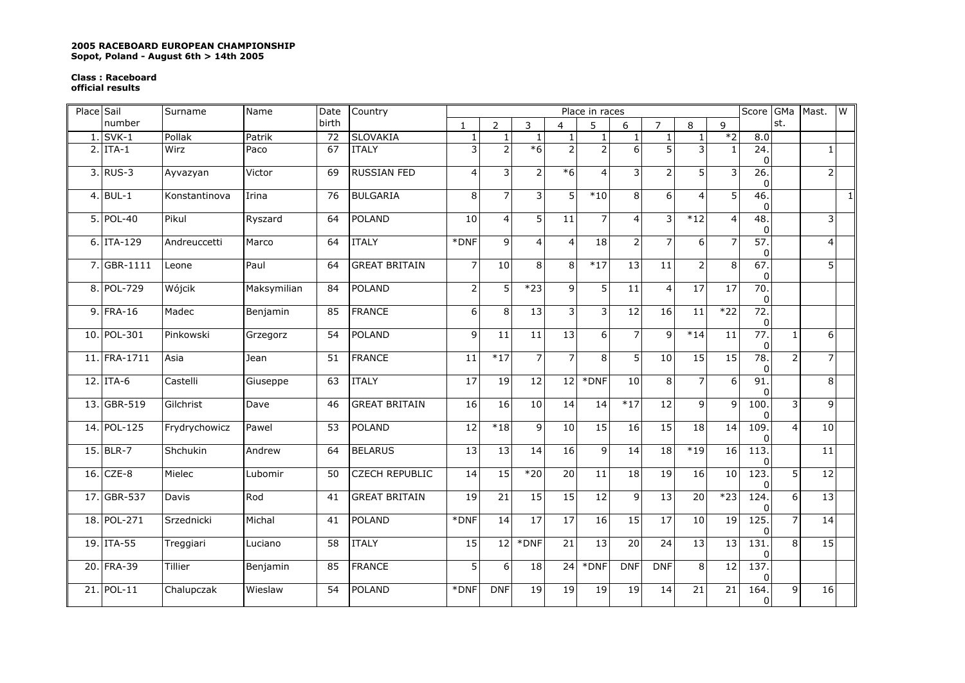## **2005 RACEBOARD EUROPEAN CHAMPIONSHIP Sopot, Poland - August 6th > 14th 2005**

## **Class : Raceboard official results**

| Place Sail |              | Surname       | Name        | Date  | Country               | Score GMa<br>Mast.<br>Place in races |                |                 |                 |                 |                 |                 |                 |                 |                                     | $\overline{\mathsf{M}}$ |                 |           |
|------------|--------------|---------------|-------------|-------|-----------------------|--------------------------------------|----------------|-----------------|-----------------|-----------------|-----------------|-----------------|-----------------|-----------------|-------------------------------------|-------------------------|-----------------|-----------|
|            | number       |               |             | birth |                       | $\mathbf{1}$                         | $\overline{2}$ | 3               | $\overline{4}$  | 5               | 6               | $\overline{z}$  | 8               | 9               |                                     | st.                     |                 |           |
|            | $1.$ SVK-1   | Pollak        | Patrik      | 72    | <b>SLOVAKIA</b>       | $\mathbf{1}$                         | $\mathbf{1}$   | $\overline{1}$  |                 |                 | $\mathbf{1}$    | $\mathbf{1}$    | $\mathbf{1}$    | $*2$            | 8.0                                 |                         |                 |           |
|            | $2.$ ITA-1   | Wirz          | Paco        | 67    | <b>ITALY</b>          | 3                                    | $\overline{2}$ | $*6$            | $\mathcal{P}$   | $\overline{2}$  | 6               | 5               | 3               | $\mathbf{1}$    | 24.<br>0                            |                         | $\mathbf{1}$    |           |
|            | $3.$ RUS-3   | Ayvazyan      | Victor      | 69    | <b>RUSSIAN FED</b>    | $\overline{4}$                       | 3              | $\overline{2}$  | $*6$            | $\overline{4}$  | 3               | $\overline{2}$  | 5               | 3               | 26.<br>$\Omega$                     |                         | $\mathsf{2}\,$  |           |
|            | 4. BUL-1     | Konstantinova | Irina       | 76    | <b>BULGARIA</b>       | 8                                    | $\overline{7}$ | 3               | 5               | $*10$           | 8               | 6               | $\overline{4}$  | 5               | 46.<br>$\mathbf 0$                  |                         |                 | $\vert$ 1 |
|            | 5. POL-40    | Pikul         | Ryszard     | 64    | <b>POLAND</b>         | 10                                   | $\overline{4}$ | 5               | 11              |                 | 4               | 3               | $*12$           | $\overline{a}$  | 48.<br>$\mathbf{0}$                 |                         | 3               |           |
|            | $6.$ ITA-129 | Andreuccetti  | Marco       | 64    | <b>ITALY</b>          | *DNF                                 | 9              | $\overline{4}$  | $\overline{4}$  | $\overline{18}$ | $\overline{2}$  | 7               | 6               | $\overline{7}$  | 57.<br>$\mathbf 0$                  |                         | 4               |           |
|            | 7. GBR-1111  | Leone         | Paul        | 64    | <b>GREAT BRITAIN</b>  | $\overline{7}$                       | 10             | 8               | 8               | $*17$           | 13              | 11              | $\overline{2}$  | 8               | 67.<br>$\Omega$                     |                         | $\overline{5}$  |           |
|            | 8. POL-729   | Wójcik        | Maksymilian | 84    | POLAND                | $\overline{2}$                       | 5              | $*23$           | 9               | 5               | 11              | $\overline{4}$  | 17              | 17              | $\overline{70}$ .<br>$\overline{0}$ |                         |                 |           |
|            | 9. FRA-16    | Madec         | Benjamin    | 85    | <b>FRANCE</b>         | 6                                    | 8              | 13              | 3               | 3               | $\overline{12}$ | 16              | 11              | $*22$           | 72.<br>$\mathbf 0$                  |                         |                 |           |
|            | 10. POL-301  | Pinkowski     | Grzegorz    | 54    | <b>POLAND</b>         | 9                                    | 11             | 11              | 13              | 6               | 7               | 9               | $*14$           | 11              | 77.<br>$\mathbf 0$                  | $\mathbf{1}$            | 6               |           |
|            | 11. FRA-1711 | Asia          | <b>Jean</b> | 51    | <b>FRANCE</b>         | 11                                   | $*17$          | $\overline{7}$  | $\overline{7}$  | 8               | 5               | 10              | 15              | 15              | 78.<br>0                            | $\overline{2}$          | $\overline{7}$  |           |
|            | $12.$ ITA-6  | Castelli      | Giuseppe    | 63    | <b>ITALY</b>          | $\overline{17}$                      | 19             | 12              | $\overline{12}$ | *DNF            | 10              | 8               | $\overline{7}$  | 6               | 91.<br>$\Omega$                     |                         | 8               |           |
|            | 13. GBR-519  | Gilchrist     | Dave        | 46    | <b>GREAT BRITAIN</b>  | 16                                   | 16             | 10              | 14              | 14              | $*17$           | $\overline{12}$ | 9               | 9               | 100.<br>0                           | 3                       | 9               |           |
|            | 14. POL-125  | Frydrychowicz | Pawel       | 53    | <b>POLAND</b>         | $\overline{12}$                      | $*18$          | $\overline{9}$  | 10              | 15              | 16              | 15              | $\overline{18}$ | $\overline{14}$ | 109.<br>$\Omega$                    | 4                       | 10              |           |
|            | 15. BLR-7    | Shchukin      | Andrew      | 64    | <b>BELARUS</b>        | $\overline{13}$                      | 13             | 14              | 16              | 9               | 14              | 18              | $*19$           | 16              | 113.<br>0                           |                         | 11              |           |
|            | $16.$ CZE-8  | Mielec        | Lubomir     | 50    | <b>CZECH REPUBLIC</b> | $\overline{14}$                      | 15             | $*20$           | $\overline{20}$ | 11              | 18              | 19              | 16              | 10              | 123.<br>$\mathbf{0}$                | $\overline{5}$          | $\overline{12}$ |           |
|            | 17. GBR-537  | <b>Davis</b>  | Rod         | 41    | <b>GREAT BRITAIN</b>  | 19                                   | 21             | 15              | 15              | 12              | 9               | $\overline{13}$ | 20              | $*23$           | 124.<br>$\mathbf{0}$                | 6                       | 13              |           |
|            | 18. POL-271  | Srzednicki    | Michal      | 41    | <b>POLAND</b>         | *DNF                                 | 14             | 17              | $\overline{17}$ | $\overline{16}$ | 15              | 17              | 10              | 19              | 125.<br>0                           | 7                       | 14              |           |
|            | 19. ITA-55   | Treggiari     | Luciano     | 58    | <b>ITALY</b>          | 15                                   | 12             | *DNF            | 21              | 13              | 20              | 24              | 13              | 13              | 131.<br>$\overline{0}$              | 8                       | 15              |           |
|            | 20. FRA-39   | Tillier       | Benjamin    | 85    | <b>FRANCE</b>         | $\overline{5}$                       | 6              | $\overline{18}$ | 24              | *DNF            | <b>DNF</b>      | <b>DNF</b>      | $\overline{8}$  | 12              | 137.<br>0                           |                         |                 |           |
|            | 21. POL-11   | Chalupczak    | Wieslaw     | 54    | <b>POLAND</b>         | *DNF                                 | <b>DNF</b>     | 19              | 19              | $\overline{19}$ | 19              | 14              | $\overline{21}$ | 21              | 164.<br>$\overline{0}$              | 9                       | 16              |           |